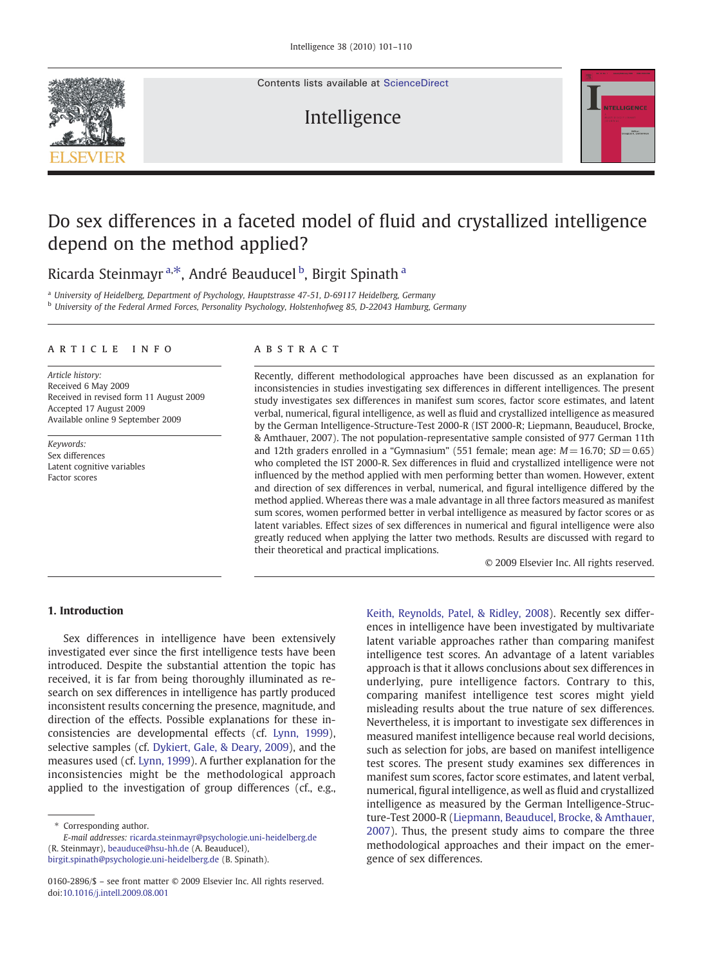Contents lists available at [ScienceDirect](http://www.sciencedirect.com/science/journal/01602896)

## Intelligence



# Do sex differences in a faceted model of fluid and crystallized intelligence depend on the method applied?

Ricarda Steinmayr <sup>a,\*</sup>, André Beauducel <sup>b</sup>, Birgit Spinath <sup>a</sup>

<sup>a</sup> University of Heidelberg, Department of Psychology, Hauptstrasse 47-51, D-69117 Heidelberg, Germany <sup>b</sup> University of the Federal Armed Forces, Personality Psychology, Holstenhofweg 85, D-22043 Hamburg, Germany

#### article info abstract

Article history: Received 6 May 2009 Received in revised form 11 August 2009 Accepted 17 August 2009 Available online 9 September 2009

Keywords: Sex differences Latent cognitive variables Factor scores

Recently, different methodological approaches have been discussed as an explanation for inconsistencies in studies investigating sex differences in different intelligences. The present study investigates sex differences in manifest sum scores, factor score estimates, and latent verbal, numerical, figural intelligence, as well as fluid and crystallized intelligence as measured by the German Intelligence-Structure-Test 2000-R (IST 2000-R; Liepmann, Beauducel, Brocke, & Amthauer, 2007). The not population-representative sample consisted of 977 German 11th and 12th graders enrolled in a "Gymnasium" (551 female: mean age:  $M = 16.70$ ;  $SD = 0.65$ ) who completed the IST 2000-R. Sex differences in fluid and crystallized intelligence were not influenced by the method applied with men performing better than women. However, extent and direction of sex differences in verbal, numerical, and figural intelligence differed by the method applied. Whereas there was a male advantage in all three factors measured as manifest sum scores, women performed better in verbal intelligence as measured by factor scores or as latent variables. Effect sizes of sex differences in numerical and figural intelligence were also greatly reduced when applying the latter two methods. Results are discussed with regard to their theoretical and practical implications.

© 2009 Elsevier Inc. All rights reserved.

#### 1. Introduction

Sex differences in intelligence have been extensively investigated ever since the first intelligence tests have been introduced. Despite the substantial attention the topic has received, it is far from being thoroughly illuminated as research on sex differences in intelligence has partly produced inconsistent results concerning the presence, magnitude, and direction of the effects. Possible explanations for these inconsistencies are developmental effects (cf. [Lynn, 1999\)](#page--1-0), selective samples (cf. [Dykiert, Gale, & Deary, 2009\)](#page--1-0), and the measures used (cf. [Lynn, 1999](#page--1-0)). A further explanation for the inconsistencies might be the methodological approach applied to the investigation of group differences (cf., e.g.,

⁎ Corresponding author.

[birgit.spinath@psychologie.uni-heidelberg.de](mailto:birgit.spinath@psychologie.uni-heidelberg.de) (B. Spinath).

[Keith, Reynolds, Patel, & Ridley, 2008](#page--1-0)). Recently sex differences in intelligence have been investigated by multivariate latent variable approaches rather than comparing manifest intelligence test scores. An advantage of a latent variables approach is that it allows conclusions about sex differences in underlying, pure intelligence factors. Contrary to this, comparing manifest intelligence test scores might yield misleading results about the true nature of sex differences. Nevertheless, it is important to investigate sex differences in measured manifest intelligence because real world decisions, such as selection for jobs, are based on manifest intelligence test scores. The present study examines sex differences in manifest sum scores, factor score estimates, and latent verbal, numerical, figural intelligence, as well as fluid and crystallized intelligence as measured by the German Intelligence-Structure-Test 2000-R ([Liepmann, Beauducel, Brocke, & Amthauer,](#page--1-0) [2007](#page--1-0)). Thus, the present study aims to compare the three methodological approaches and their impact on the emergence of sex differences.

E-mail addresses: [ricarda.steinmayr@psychologie.uni-heidelberg.de](mailto:ricarda.steinmayr@psychologie.uni-heidelberg.de) (R. Steinmayr), [beauduce@hsu-hh.de](mailto:beauduce@hsu-hh.de) (A. Beauducel),

<sup>0160-2896/\$</sup> – see front matter © 2009 Elsevier Inc. All rights reserved. doi[:10.1016/j.intell.2009.08.001](http://dx.doi.org/10.1016/j.intell.2009.08.001)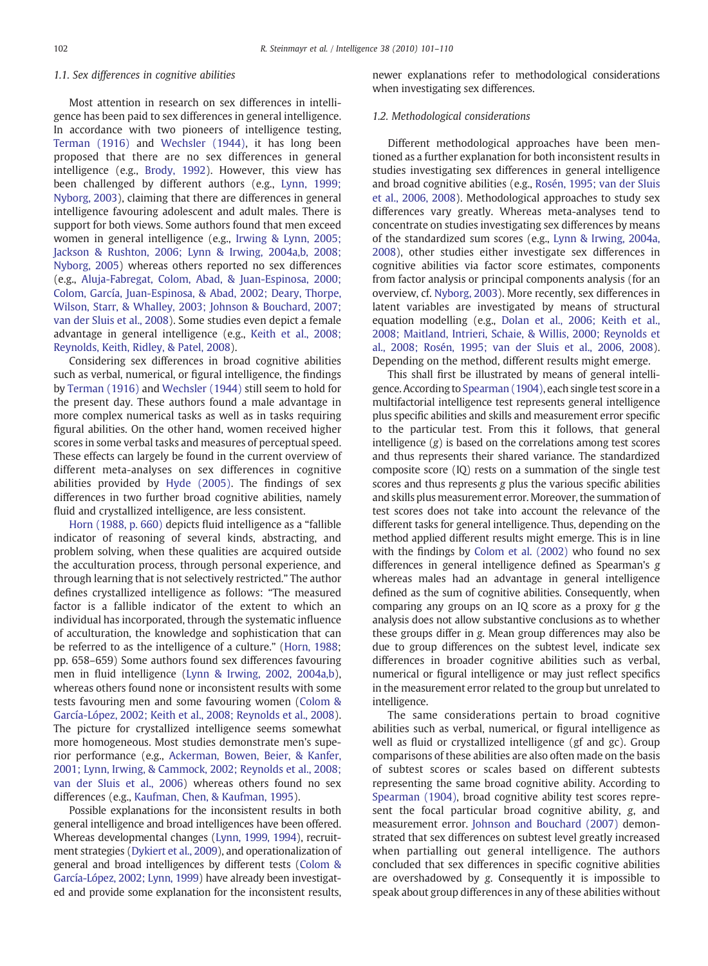#### 1.1. Sex differences in cognitive abilities

Most attention in research on sex differences in intelligence has been paid to sex differences in general intelligence. In accordance with two pioneers of intelligence testing, [Terman \(1916\)](#page--1-0) and [Wechsler \(1944\),](#page--1-0) it has long been proposed that there are no sex differences in general intelligence (e.g., [Brody, 1992](#page--1-0)). However, this view has been challenged by different authors (e.g., [Lynn, 1999;](#page--1-0) [Nyborg, 2003](#page--1-0)), claiming that there are differences in general intelligence favouring adolescent and adult males. There is support for both views. Some authors found that men exceed women in general intelligence (e.g., [Irwing & Lynn, 2005;](#page--1-0) [Jackson & Rushton, 2006; Lynn & Irwing, 2004a,b, 2008;](#page--1-0) [Nyborg, 2005](#page--1-0)) whereas others reported no sex differences (e.g., [Aluja-Fabregat, Colom, Abad, & Juan-Espinosa, 2000;](#page--1-0) [Colom, García, Juan-Espinosa, & Abad, 2002; Deary, Thorpe,](#page--1-0) [Wilson, Starr, & Whalley, 2003; Johnson & Bouchard, 2007;](#page--1-0) [van der Sluis et al., 2008\)](#page--1-0). Some studies even depict a female advantage in general intelligence (e.g., [Keith et al., 2008;](#page--1-0) [Reynolds, Keith, Ridley, & Patel, 2008](#page--1-0)).

Considering sex differences in broad cognitive abilities such as verbal, numerical, or figural intelligence, the findings by [Terman \(1916\)](#page--1-0) and [Wechsler \(1944\)](#page--1-0) still seem to hold for the present day. These authors found a male advantage in more complex numerical tasks as well as in tasks requiring figural abilities. On the other hand, women received higher scores in some verbal tasks and measures of perceptual speed. These effects can largely be found in the current overview of different meta-analyses on sex differences in cognitive abilities provided by [Hyde \(2005\).](#page--1-0) The findings of sex differences in two further broad cognitive abilities, namely fluid and crystallized intelligence, are less consistent.

[Horn \(1988, p. 660\)](#page--1-0) depicts fluid intelligence as a "fallible indicator of reasoning of several kinds, abstracting, and problem solving, when these qualities are acquired outside the acculturation process, through personal experience, and through learning that is not selectively restricted." The author defines crystallized intelligence as follows: "The measured factor is a fallible indicator of the extent to which an individual has incorporated, through the systematic influence of acculturation, the knowledge and sophistication that can be referred to as the intelligence of a culture." [\(Horn, 1988;](#page--1-0) pp. 658–659) Some authors found sex differences favouring men in fluid intelligence [\(Lynn & Irwing, 2002, 2004a,b](#page--1-0)), whereas others found none or inconsistent results with some tests favouring men and some favouring women [\(Colom &](#page--1-0) [García-López, 2002; Keith et al., 2008; Reynolds et al., 2008](#page--1-0)). The picture for crystallized intelligence seems somewhat more homogeneous. Most studies demonstrate men's superior performance (e.g., [Ackerman, Bowen, Beier, & Kanfer,](#page--1-0) [2001; Lynn, Irwing, & Cammock, 2002; Reynolds et al., 2008;](#page--1-0) [van der Sluis et al., 2006\)](#page--1-0) whereas others found no sex differences (e.g., [Kaufman, Chen, & Kaufman, 1995\)](#page--1-0).

Possible explanations for the inconsistent results in both general intelligence and broad intelligences have been offered. Whereas developmental changes ([Lynn, 1999, 1994\)](#page--1-0), recruitment strategies [\(Dykiert et al., 2009](#page--1-0)), and operationalization of general and broad intelligences by different tests ([Colom &](#page--1-0) [García-López, 2002; Lynn, 1999\)](#page--1-0) have already been investigated and provide some explanation for the inconsistent results, newer explanations refer to methodological considerations when investigating sex differences.

### 1.2. Methodological considerations

Different methodological approaches have been mentioned as a further explanation for both inconsistent results in studies investigating sex differences in general intelligence and broad cognitive abilities (e.g., [Rosén, 1995; van der Sluis](#page--1-0) [et al., 2006, 2008](#page--1-0)). Methodological approaches to study sex differences vary greatly. Whereas meta-analyses tend to concentrate on studies investigating sex differences by means of the standardized sum scores (e.g., [Lynn & Irwing, 2004a,](#page--1-0) [2008](#page--1-0)), other studies either investigate sex differences in cognitive abilities via factor score estimates, components from factor analysis or principal components analysis (for an overview, cf. [Nyborg, 2003\)](#page--1-0). More recently, sex differences in latent variables are investigated by means of structural equation modelling (e.g., [Dolan et al., 2006; Keith et al.,](#page--1-0) [2008; Maitland, Intrieri, Schaie, & Willis, 2000; Reynolds et](#page--1-0) [al., 2008; Rosén, 1995; van der Sluis et al., 2006, 2008](#page--1-0)). Depending on the method, different results might emerge.

This shall first be illustrated by means of general intelligence. According to [Spearman \(1904\),](#page--1-0) each single test score in a multifactorial intelligence test represents general intelligence plus specific abilities and skills and measurement error specific to the particular test. From this it follows, that general intelligence (g) is based on the correlations among test scores and thus represents their shared variance. The standardized composite score (IQ) rests on a summation of the single test scores and thus represents g plus the various specific abilities and skills plus measurement error. Moreover, the summation of test scores does not take into account the relevance of the different tasks for general intelligence. Thus, depending on the method applied different results might emerge. This is in line with the findings by [Colom et al. \(2002\)](#page--1-0) who found no sex differences in general intelligence defined as Spearman's g whereas males had an advantage in general intelligence defined as the sum of cognitive abilities. Consequently, when comparing any groups on an IQ score as a proxy for g the analysis does not allow substantive conclusions as to whether these groups differ in g. Mean group differences may also be due to group differences on the subtest level, indicate sex differences in broader cognitive abilities such as verbal, numerical or figural intelligence or may just reflect specifics in the measurement error related to the group but unrelated to intelligence.

The same considerations pertain to broad cognitive abilities such as verbal, numerical, or figural intelligence as well as fluid or crystallized intelligence (gf and gc). Group comparisons of these abilities are also often made on the basis of subtest scores or scales based on different subtests representing the same broad cognitive ability. According to [Spearman \(1904\)](#page--1-0), broad cognitive ability test scores represent the focal particular broad cognitive ability, g, and measurement error. [Johnson and Bouchard \(2007\)](#page--1-0) demonstrated that sex differences on subtest level greatly increased when partialling out general intelligence. The authors concluded that sex differences in specific cognitive abilities are overshadowed by g. Consequently it is impossible to speak about group differences in any of these abilities without